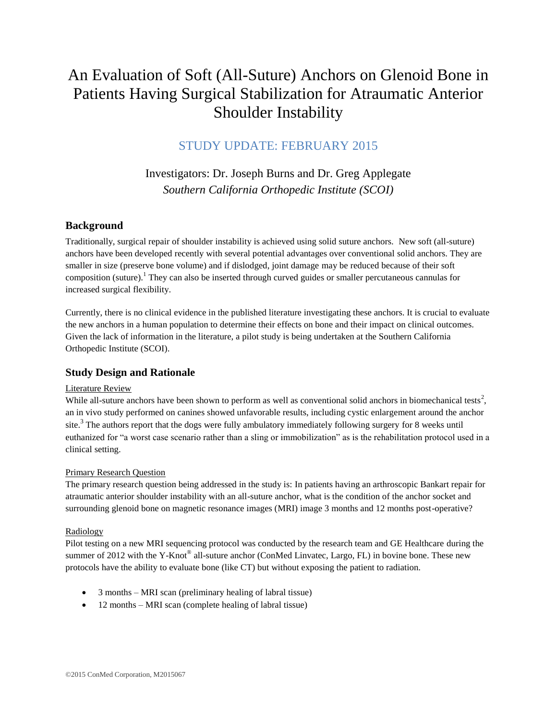# An Evaluation of Soft (All-Suture) Anchors on Glenoid Bone in Patients Having Surgical Stabilization for Atraumatic Anterior Shoulder Instability

## STUDY UPDATE: FEBRUARY 2015

# Investigators: Dr. Joseph Burns and Dr. Greg Applegate *Southern California Orthopedic Institute (SCOI)*

## **Background**

Traditionally, surgical repair of shoulder instability is achieved using solid suture anchors. New soft (all-suture) anchors have been developed recently with several potential advantages over conventional solid anchors. They are smaller in size (preserve bone volume) and if dislodged, joint damage may be reduced because of their soft composition (suture).<sup>1</sup> They can also be inserted through curved guides or smaller percutaneous cannulas for increased surgical flexibility.

Currently, there is no clinical evidence in the published literature investigating these anchors. It is crucial to evaluate the new anchors in a human population to determine their effects on bone and their impact on clinical outcomes. Given the lack of information in the literature, a pilot study is being undertaken at the Southern California Orthopedic Institute (SCOI).

## **Study Design and Rationale**

## Literature Review

While all-suture anchors have been shown to perform as well as conventional solid anchors in biomechanical tests<sup>2</sup>, an in vivo study performed on canines showed unfavorable results, including cystic enlargement around the anchor site.<sup>3</sup> The authors report that the dogs were fully ambulatory immediately following surgery for 8 weeks until euthanized for "a worst case scenario rather than a sling or immobilization" as is the rehabilitation protocol used in a clinical setting.

## Primary Research Question

The primary research question being addressed in the study is: In patients having an arthroscopic Bankart repair for atraumatic anterior shoulder instability with an all-suture anchor, what is the condition of the anchor socket and surrounding glenoid bone on magnetic resonance images (MRI) image 3 months and 12 months post-operative?

## Radiology

Pilot testing on a new MRI sequencing protocol was conducted by the research team and GE Healthcare during the summer of 2012 with the Y-Knot<sup>®</sup> all-suture anchor (ConMed Linvatec, Largo, FL) in bovine bone. These new protocols have the ability to evaluate bone (like CT) but without exposing the patient to radiation.

- 3 months MRI scan (preliminary healing of labral tissue)
- 12 months MRI scan (complete healing of labral tissue)